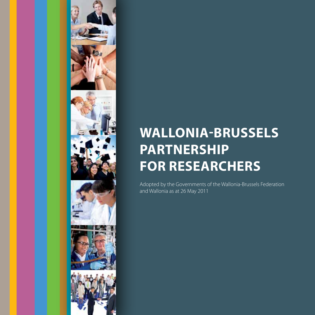

## **WALLONIA-BRUSSELS PARTNERSHIP FOR RESEARCHERS**

Adopted by the Governments of the Wallonia-Brussels Federation and Wallonia as at 26 May 2011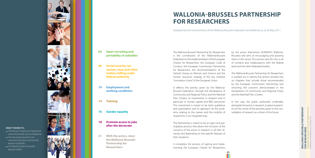## **04 Open recruiting and portability of subsidies**

**08 Social security, tax system, visas and other matters falling under federal authority**

**10 Employment and working conditions**

**14 Training**

**16 Gender equality**

**18 Promote access to jobs after the doctorate**

**21 With the actors, steer the Wallonia-Brussels Partnership for Researchers**

The Wallonia-Brussels Partnership for Researchers is the contribution of the Wallonia-Brussels Federation to the implementation of the European Charter for Researchers, the European Code of Conduct, the European Commission Partnership for Researchers, the recommendations of the Helsinki Group on Women and Science and the human resources strategy of the key initiative "Innovation Union" of the European Union.

It reflects the priority given by the Wallonia-Brussels Federation, through the Declarations of Community and Regional Policy and the Marshall Plan 2.Green, to investments in research and in particular in human capital and R&D personnel. This investment is meant to be both qualitative and quantitative and to approach all the prob lems relating to the careers and the mobility of researchers in an integrated way.

The Partnership is meant to be an open and par ticipatory process that allows the inclusion of the concerns of the actors in research in all their di versity and depending on the specific features of their situations.

It completes the process of signing and imple menting the European Charter for Researchers

by the actors themselves (EURAXESS Wallonia-Brussels) and aims at encouraging and assisting them in this sense. This process also fits into a set of contacts and collaborations with the federal level and the other federated bodies.

The Wallonia-Brussels Partnership for Researchers is worked out in twenty-five actions divided into six chapters that include those recommended by the European Commission Partnership and enriching the concerns demonstrated in the Declarations of Community and Regional Policy and the Marshall Plan 2.Green.

In this way, the public authorities undertake, alongside the actors in research, to place research ers at the centre of the priorities given to the con solidation of research as a driver of the future.

NIA-BRUSSELS PARTNERSHIP<br>SEARCHERS Adopted by the Governments of the Wallonia-Brussels **WALLONIA-BRUSSELS PARTNERSHIP FOR RESEARCHERS WALI**<br>FOR

*03*

## **WALLONIA-BRUSSELS PARTNERSHIP FOR RESEARCHERS**

Adopted by the Governments of the Wallonia-Brussels Federation and Wallonia as at 26 May 2011

Federation and Wallonia as at 26 May 2011



**Many thanks to :**

*The Research Programmes Department of the DGO6 (Public Service of Wallonia) The Directorate General for non compulsory Education and Scientific* 

*Research (DGNORS) The National Funds for Scientific* 

*Research (FNRS)*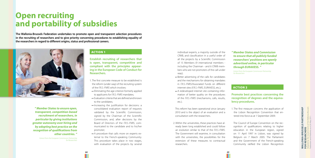*" Member States to ensure open, transparent, competition-based recruitment of researchers, in particular by giving institutions greater autonomy over hiring and by adopting best practice on the recognition of qualifications from other countries. "*

> *Extract from the European Commission Partnership for Researchers*

## Action 1

**Establish recruiting of researchers that is open, transparent, competitive and compliant with the principles appearing in the European Code of Conduct for Researchers.**

- 1. The first concrete measure to be established is the reform (under way) of the recruiting system of the *F.R.S.-FNRS* which involves:
- $\rightarrow$  Eliminating the age criterion formerly applied to applicants for *F.R.S.-FNRS* mandates;
- $\leftrightarrow$  Evaluation criteria that are defined and known to the candidates;
- $\rightarrow$  Increasing the justification for decisions: a consolidated evaluation report of requests validated by the Scientific Commission, signed by the Chairman of the Scientific Commission, and, after decisions by the Board of Directors of the *F.R.S.-FNRS*, communicated to the candidate and to his/her promoter;
- → A procedure that calls more on experts external to the French-speaking Community. This procedure takes place in two stages, with evaluation of the projects by several
- $\rightarrow$  Better advertising of the calls for candidates and the mechanisms for obtaining mandates in *F.R.S.-FNRS*/Associated Funds on different internet sites (*F.R.S.-FNRS*, EURAXESS, etc.);
- → A redeveloped internet site containing information of better quality on the procedures of the *F.R.S.-FNRS* (mechanisms, calls, results, etc.).

## **Open recruiting and portability of subsidies**

**The Wallonia-Brussels Federation undertakes to promote open and transparent selection procedures in the recruiting of researchers and to give priority concerning procedures to establishing equality of the researchers in regard to different origins, status and professional careers.** 



individual experts, a majority outside of the CfWB, and classification in a useful order of all the projects by a Scientific Commission of 15 Members (9 international members including the Chairman - and 6 CfWB members who are not promoters of the call under way);

This reform has been operational since January 2010 and is the object of an evaluation and a consultation with the researchers.

2. Within the universities, these practices have already been long established and could follow an evolution similar to that of the *F.R.S.-FNRS*. The Government will examine, in consultation with the universities, the possibilities for the extension of these measures to contractual researchers.

## Action 2

## **Promote best practices concerning the recognition of degrees and the equivalency procedures.**

1. The first measure concerns the application of the Lisbon Recognition Convention that entered into force as at 1 September 2009.

The Council of Europe Convention on the recognition of qualifications relating to higher education in the European region, signed on 11 April 1997 in Lisbon, was signed by Belgium on 7 March 2005. The Parliament and the Government of the French-speaking Community ratified the Lisbon Recognition

*05*

## *" Member States and Commission to ensure that all publicly funded researchers' positions are openly advertised online, in particular*

# *through EURAXESS. "*

*Extract from the European Commission Partnership*

*for Researchers*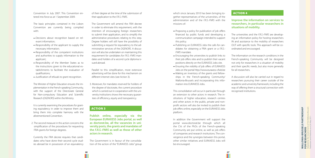Convention in July 2007. This Convention en tered into force as at 1 September 2009.

- Decisions about recognition based on rel evant information;
- $\leftrightarrow$  Responsibility of the applicant to supply the necessary information;
- $\rightarrow$  Responsibility of the competent institutions and authorities to supply information to the applicant;
- $\leftrightarrow$  Responsibility of the Member States as to the instructions given to the educational es tablishments to facilitate the evaluation of qualifications;
- $\leftrightarrow$  Justification of refusals to grant recognition.

The basic principles contained in the Lisbon Convention are currently being complied with:

The Minister of Higher Education ensures the im plementation in the French-speaking Community, with the support of the Directorate General for Non-compulsory Education and Scientific Research (*DGENORS*) within the Ministry.

It is currently examining the procedures for grant ing equivalency in order to improve them and bring them into complete harmony with the aforementioned Convention.

2. The second measure in this action concerns the simplification of the procedures for requesting FRIA grants for foreign degrees.

Currently the *FRIA* decree requires that candi dates who have done their second cycle stud ies abroad be in possession of an equivalency of their degree at the time of the submission of their application to the *F.R.S.-FNRS*.

The Government will amend the *FRIA* decree in order to eliminate this requirement, with the intention of encouraging foreign researchers to submit their application, and to simplify the administrative procedures relating to this step. Degree holders will still have the possibility of submitting a request for equivalency to the ad ministrative services of the *DGENORS*. A discus sion will also be undertaken on maintaining this requirement for candidates for *F.R.S.-FNRS* man dates and holders of a second cycle diploma is sued abroad.

- $\rightarrow$  Proposing a policy for publication of job offers financed by public funds and developing a communication campaign intended to support this policy.
- Publishing on EURAXESS Jobs the calls for can didates for obtaining a FRIA grant or a *F.R.S.- FNRS* mandate.
- $\rightarrow$  Encouraging the universities to publish links to their job offers sites and to publish their vacant positions directly on the EURAXESS Jobs site.
- $\leftrightarrow$  Ensuring the visibility of job offers of EURAXESS Jobs on the portal http://www.euraxess-cfwb.be
- Making an inventory of the grants and fellow ships in the French-speaking Community/ Wallonia-Brussels and incorporating this infor mation into EURAXESS Jobs.

Parallel to this simplification, more extensive advertising will be done for this mechanism on different internet sites (see Action 3).

3. Moreover, for mandates reserved for holders of the degree of doctorate, the current procedure which is carried out in cooperation with the university institutions shows the necessary guaran tees of efficiency, equity and transparency.

## **ACTION 3**

**Publish online, especially via the European EUR AXESS Jobs portal, as well as doctorat.be, all the vacancies in uni versity posts, the grants and mandates of the** *F.R.S.-FNRS* **as well as those of other actors in research.**

## **WALLONIA-BRUSSELS PARTNERSHIP** Adopted by the Governments of the Wallonia-Brussels **WALLONIA-BRUSSELS PARTNERSHIP** s of the Wallon<br>- 26 May 2011 **FOR RESEARCHERS**

The Government is in favour of the consolida tion of the action of the "EURAXESS Jobs" group

which since January 2010 has been bringing to gether representatives of the universities, of the administration and of the *F.R.S.-FNRS* with the missions of:

This consolidation will occur in particular through an extension to other actors in research. The in stitutions of higher education, research centres and other actors in the public, private and nonprofit sectors will also be invited to publish their job offers online, especially on the EURAXESS Jobs platform.

In addition the Government will support the portal www.doctorat.be through which all the CVs of the PhDs of the French-speaking Community are put online, as well as job offers of companies and research institutions. The con vergence and the synergies between this portal, other similar initiatives and EURAXESS Jobs will be encouraged.

### Action 4

## **Improve the information on services to researchers, in particular researchers in situations of mobility.**

The universities and the *F.R.S.-FNRS* are develop ing an information policy for hosting researchers IN and assistance to the mobility of researchers OUT with specific tools. This approach will be co ordinated and encouraged.

The information on the research conditions in the French-speaking Community will be designed not only for researchers in a situation of mobility and their specific needs, but also more generally for all researchers.

A discussion will also be carried out in regard to researchers pursuing their career outside of the academic and university framework, including the way of offering them a structural connection with recognised institutions.

*07*

Federation and Wallonia as at 26 May 2011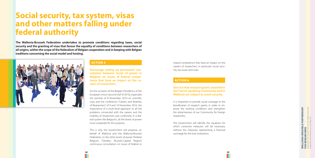**Encourage setting up permanent con sultation between levels of power in Belgium on issues of federal compe tence that have an impact on the ca reers of researchers.**

On the occasion of the Belgian Presidency of the European Union (second half of 2010), especially the seminar of 8 November 2010 on scientific visas and the conference "Careers and Mobility of Researchers" of 9 and 10 November 2010, the importance of a multi-level approach to all the problems connected with the careers and the mobility of researchers was confirmed. In a fed eral system like Belgium's, all the levels of power must cooperate for this purpose.

This is why the Government will propose, on behalf of Wallonia and the Wallonia-Brussels Federation, to the other levels of power (Federal Belgium, Flanders, Brussels-Capital Region) continuous consultation on issues of federal or

## **Social security, tax system, visas and other matters falling under federal authority**

**MALLONIA-BRUSSELS PARTNERSHIP**<br>FOR RESEARCHERS Adopted by the Governments of the Wallonia-Brussels s of the Wallor<br>26 May 2011 Federation and Wallonia as at 26 May 2011**FOR RESEARCHERS**

**The Wallonia-Brussels Federation undertakes to promote conditions regarding taxes, social security and the granting of visas that favour the equality of conditions between researchers of all origins, within the scope of the federalism of Belgian cooperation and in keeping with Belgian traditions concerning the social model and hosting.** 



## **ACTION 5**

shared competence that have an impact on the careers of researchers, in particular social secu rity, tax issues and visas.

## **ACTION 6**

## **See to it that research grants awarded in the French-speaking Community and in Wallonia are subject to social security.**

It is important to provide social coverage to the beneficiaries of research grants in order to im prove the working conditions and strengthen the attractiveness of our Community for foreign researchers.

The Government will identify the situations for which corrective measures will be necessary, without the measures representing a financial surcharge for the host institutions.

*09*

**WALLONIA-BRUSSELS PARTNERSHIP**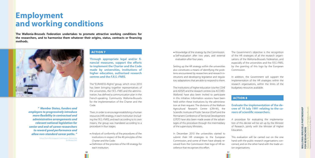*" Member States, funders and employers to progressively introduce more flexibility in contractual and administrative arrangements and relevant national legislation for senior and end-of career researchers to reward good performance and allow non-standard career paths. "*

> *Extract from the European Commission Partnership for Researchers*

## **ACTION 7**

**Through appropriate legal and/or financial measures, support the efforts to implement the Charter and the Code made by universities, institutions of higher education, authorised research centres and the** *F.R.S.-FNRS***.** 

The "EURAXESS-Rights" group, which since 2010 has been bringing together representatives of the universities, the *F.R.S.-FNRS* and the administration, has defined a communication plan in the French-speaking Community Wallonia-Brussels for the implementation of the Charter and the Code.

 $\leftrightarrow$  Knowledge of the strategy by the Commission. → Self-evaluation after two years, and external evaluation after four years.

Then, in order to encourage establishing a human resources (HR) strategy, in each institution (including the *F.R.S.-FNRS*), and each according to its own means, the group was mandated according to a procedure in four stages:

- Analysis of conformity of the procedures of the institutions in respect of the 40 principles of the Charter and the Code.
- ↔ Definition of the priorities of the HR strategy for each institution.

## **Employment and working conditions**

**The Wallonia-Brussels Federation undertakes to promote attractive working conditions for the researchers, and to harmonise them whatever their origins, status, contracts or financing methods.** 

*10*

Ш



Setting up the HR strategy within the universities also constitutes a means of identifying the problems encountered by researchers and research institutions and developing legislative and regulatory adaptations that are able to respond to them.

The institutions of higher education (via the *CGHE* and *ADISIF*) and the research centres (via *ACCORD-Wallonie*) have also been invited to participate in this initiative. Information sessions have been held within these institutions by the administration at their request. The divisions of the Walloon Agricultural Research Centre (*CR*A-W), the Scientific Institute of Public Service (*ISSeP*) and the Permanent Conference of Territorial Development (*CPDT*) have also been made aware of the advantages of this procedure through the intermediary of the supervisory Ministers.

In December 2010 the universities started to submit their HR strategies to the European Commission, and some of them have already received from the Commission their logo of HR excellence that recognises this effort.

The Government's objective is the recognition of the HR strategies of all the research organisations of the Wallonia-Brussels Federation, and especially of the universities and the *F.R.S.-FNRS*, by the granting of this logo by the European Commission.

In addition, the Government will support the implementation of the HR strategies within the research organisations, within the limits of the budgetary resources available.

### Action 8

## **Evaluate the implementation of the decree of 19 July 1991 relating to the careers of scientific researchers.**

A procedure for evaluating the implementation of this decree will be set up by the Minister of Research, jointly with the Minister of Higher Education.

This evaluation will be carried out on the one hand with the public research organisations concerned, and on the other hand with the trade union organisations.

**WALLONIA-BRUSSELS PARTNERSHIP**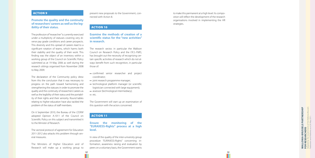### **ACTION 9**

## **Promote the quality and the continuity of researchers' careers as well as the leg ibility of their status.**

The profession of "researcher" is currently exercised under a multiplicity of statuses covering very di verse pay grade conditions and career prospects. This diversity and this spread of careers lead to a significant rotation of teams, which harms both their stability and the quality of their work. This finding was the object of an inventory within a working group of the Council on Scientific Policy submitted as at 19 May 2006 as well during the research sittings organised from November 2008 to May 2009.

The declaration of the Community policy drew from this the conclusion that it was necessary to progress on the path toward harmonising and strengthening the statuses in order to promote the quality and the continuity of researchers' careers as well as the legibility of their status and the portabil ity of their rights and their seniority. Round tables relating to higher education have also tackled the problem of the status of staff members.

On 6 September 2010, the Bureau of the *CESRW* adopted Opinion A.1011 of the Council on Scientific Policy on this subject and transmitted it to the Minister of Research.

The sectoral protocol of agreement for Education 2011-2012 also attacks this problem through sev eral measures.

**WALLONIA-BRUSSELS PARTNERSHIP** Adopted by the Governments of the Wallonia-Brussels s of the Wallon<br>- 26 May 2011 Federation and Wallonia as at 26 May 2011**FOR RESEARCHERS**

The Ministers of Higher Education and of Research will make up a working group to

present new proposals to the Government, con nected with Action 8.

## Action 10

## **Examine the methods of creation of a scientific status for the "new activities" in research.**

The research sector, in particular the Walloon Council on Research Policy and the *F.R.S.-FNRS*, has brought out the necessity of recognising cer tain specific activities of research which do not al ways benefit from such recognition, in particular those of:

- → confirmed senior researcher and project coordinator;
- $\rightarrow$  joint research programme manager;
- $\leftrightarrow$  technological platform manager (or scientific logistician connected with large equipment);
- $\leftrightarrow$  assessor (technological intermediary);
- $\leftrightarrow$  etc.

The Government will start up an examination of this question with the actors concerned.

## Action 11

**Ensure the monitoring of the "EUR AXESS-Rights" process at a high level.** 

In view of the quality of the inter-university group procedure "EURAXESS-Rights" concerning in formation, awareness raising and evaluation by peers on a voluntary basis, the Government wants

to make this permanent at a high level. Its compo sition will reflect the development of the research organisations involved in implementing the HR strategies.

*13*

**WALLONIA-BRUSSELS PARTNERSHIP**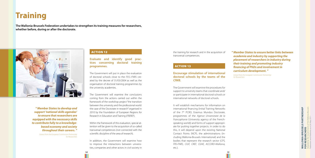**Evaluate and identify good practices concerning doctoral training programmes.** 

The Government will put in place the evaluation of doctoral schools close to the *F.R.S.-FNRS* created by the decree of 31/03/2004 as well as the organisation of doctoral training programmes by the university academies.

The Government will examine the conclusions coming from the actions carried out within the framework of the workshop project "the transition between the university and the professional world: the case of the Doctorate in research" organised in 2010 by the Foundation of European Regions for Research in Education and Training (*FREREF*).

Within the framework of this evaluation, special attention will be given to the acquisition of so-called transversal competences (not connected with the scientific discipline of the area of research).

In addition, the Government will examine how to improve the interactions between universities, companies and other actors in civil society in

## **Training**

**The Wallonia-Brussels Federation undertakes to strengthen its training measures for researchers, whether before, during or after the doctorate.**



the training for research and in the acquisition of transversal competences.

## **ACTION 13**

**Encourage stimulation of international doctoral schools by the teams of the**  *CfWB***.**

The Government will examine the procedures for support to university teams that coordinate and/ or participate in international doctoral schools or international networks of doctoral schools.

It will establish mechanisms for information on international financing (Initial Training Networks of the 7<sup>th</sup> PCRD, Erasmus Mundus Doctorate, programmes of the *Agence Universitaire de la Francophonie* (University agency of the Frenchspeaking world)) and forms of support appropriate for putting together projects. In order to do this, it will depend upon the existing National Contact Points (NCP), the administrations (including Wallonia-Brussels International) and the bodies that represent the research sector (*CPS, FRS-FNRS, CIUF, CREF, CGHE, ACCORD-Wallonia,*  etc.).

*15*

*" Member States to ensure better links between academia and industry by supporting the placement of researchers in industry during their training and promoting industry financing of PhDs and involvement in curriculum development. "*

*Extract from the European Commission Partnership* 

LONIA-BRUSSELS PARTNERSHIP<br>RESEARCHERS Adopted by the Governments of the Wallonia-Brussels **WALLONIA-BRUSSELS PARTNERSHIP** Federation and Wallonia as at 26 May 2011of the \<br>26 May **FOR RESEARCHERS** WALI<br>FOR I

*for Researchers*

*" Member States to develop and support 'national skills agendas' to ensure that researchers are equipped with the necessary skills to contribute fully to a knowledgebased economy and society throughout their careers. "*

> *Extract from the European Commission Partnership for Researchers*

## **ACTION 12**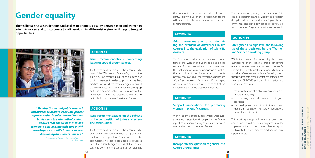## **Issue recommendations concerning leave for special circumstances.**

The Government will examine the recommendations of the "Women and Sciences" group on the subject of implementing legislation on leave due to circumstances in order to promote the best practices within all the research organisations of the French-speaking Community. Following up on these recommendations will form part of the implementation of the present Partnership, in particular in relation to actions 8 and 9 above.

## **ACTION 15**

**Issue recommendations on the subject of the composition of juries and scientific commissions.** 

The Government will examine the recommendations of the "Women and Sciences" group concerning the composition of juries and scientific commissions in order to promote best practices in all the research organisations of the Frenchspeaking Community. It considers in general that

## **Gender equality**

**The Wallonia-Brussels Federation undertakes to promote equality between men and women in scientific careers and to incorporate this dimension into all the existing tools with regard to equal opportunities.** 



*16*

this composition must in the end tend toward parity. Following up on these recommendations will form part of the implementation of the present Partnership.

## Action 16

**Adopt measures aiming at integrating the problem of differences in life courses into the evaluation of scientific dossiers.**

> $\leftrightarrow$  the development of solutions to the problems identified (legislation, university regulations,

- $\leftrightarrow$  the identification of problems encountered by female researchers;
- practices;
- university practices, etc.).

The Government will examine the recommendations of the "Women and Sciences" group on the subject of assessment criteria of the dossiers and the evaluation of scientific production as well as the facilitation of mobility in order to promote best practices within all the research organisations of the French-speaking Community. Following up on these recommendations will form part of the implementation of the present Partnership.

## Action 17

## **MALLONIA-BRUSSELS PARTNERSHIP**<br>FOR RESEARCHERS Adopted by the Governments of the Wallonia-Brussels **WALLONIA-BRUSSELS PARTNERSHIP** Federation and Wallonia as at 26 May 2011of the \<br>26 May **FOR RESEARCHERS**

## **Support associations for promoting women in scientific careers.**

Within the limits of the budgetary resources available, special attention will be paid to the financing of associations aiming at equality between men and women in the area of research.

## Action 18

**Incorporate the question of gender into course programmes.**

The question of gender, its incorporation into course programmes and its visibility as a research discipline will be examined depending on the recommendations previously issued by several actors in the area of higher education and research.

### **ACTION 19**

## **Strengthen at a high level the following up of these decisions by the "Women and Sciences" working group.**

Within the context of implementing the recommendations of the Helsinki group concerning equality between men and women in scientific careers, the French-speaking Community has established a "Women and Sciences" working group that brings together representatives of the universities, the *F.R.S.-FNRS* and the administration and whose objectives are:

This working group will be made permanent and its action will be fully integrated into the implementation of the present Partnership as well as into the Government's roadmap on Equal Opportunities.

 $\leftrightarrow$  the exchange and dissemination of good

*17*

*" Member States and public research institutions to achieve adequate gender representation in selection and funding bodies, and to systematically adopt policies that enable both men and women to pursue a scientific career with an adequate work-life balance such as developing dual career policies. "*

> *Extract from the European Commission Partnership for Researchers*

## **ACTION 14**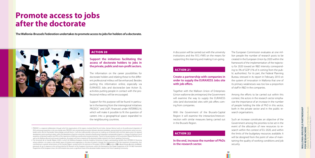## **Support the initiatives facilitating the access of doctorate holders to jobs in the private, public and non-profit sectors.**

The information on the career possibilities for doctorate holders and relating these to the different professional milieus will be enhanced. Besides putting this information online, especially via EURAXESS Jobs and doctorat.be (see Action 3), activities putting people in contact with the professional milieus will be encouraged.

Support for this purpose will be found in particular in the learning from the interregional initiatives PRODOC<sup>1</sup> and UGR<sup>2</sup>, financed under INTERREG-IV, which will make it possible to fit the question of careers into a geographical space expanded to the neighbouring countries.

## **Promote access to jobs after the doctorate**

**The Wallonia-Brussels Federation undertakes to promote access to jobs for holders of a doctorate.** 



### **ACTION 20**

A discussion will be carried out with the university institutions and the *F.R.S.-FNRS* on the means for supporting this learning and making it on-going.

## **ACTION 21**

## **Create a partnership with companies in order to supply the EURAXESS Jobs site with job offers.**

Together with the Walloon Union of Enterprises (Union wallonne des entreprises) the Government will examine the way to supply the EURAXESS Jobs (and doctorat.be) sites with job offers coming from companies.

With the Government of the Brussels-Capital Region it will examine the interaction/interconnection with similar measures being carried out in the Brussels Region.

## **ACTION 22**

**In the end, increase the number of PhDs in the research sector.**

The European Commission evaluates at one million people the number of research posts to be created in the European Union by 2020 within the framework of the implementation of the trajectory for 2020 toward an R&D intensity corresponding to 3% of GDP (1% of it coming from the public authorities). For its part, the Federal Planning Bureau stressed in its report in February 2010 on the system of innovation in Wallonia that one of its primary weaknesses was too low a proportion of staff in R&D in the companies.

Among the efforts to be carried out within this context, the actors in the research sector emphasise the importance of an increase in the number of people holding the title of PhD in this sector, both in the private sector and in the public research organisations.

Such an increase constitutes an objective of the Government among the priorities to be set in the event of the allocation of new resources to research within the context of EU 2020, and within the limits of the budgetary resources available. It will be designed from the point of view of maintaining the quality of working conditions and job security.

*1.* PRODOC *is a regional collaboration through which the organisations of the regions involved (Nord Pas-de-Calais, Hainaut-Namur) work on the professional integration of*  PhDs and young researchers in the cross-border area. PRODOC aims at promoting encounters between doctoral candidates, young researchers and economic actors via cross*border events like the* Doctoriales franco-belges *and job forums. It will also make possible a discussion on making use of doctoral skills and their repercussions for regional*  development and on putting in place, within the laboratories of partner universities, networks of professional integration correspondents/agents, in charge of initiating a rise of *awareness of doctoral students and PhDs of the importance of defining a professional and personal plan. Thanks to the participation of the association* Objectif Recherche *as well as the Wallonia-Brussels and Louvain Academies, this project will cover a majority of the doctorate holders trained in the French-speaking Community.*

*2. The* Université de la Grande Région *(UGR), in which the Wallonia-European university Academy (University of Liege) is participating, benefits from INTERREG-IV financing*  whose ambition is to create a cross-border space of initiative and cooperation in the area of research, through the improvement of the free movement of researchers, thus contributing to a greater attractiveness of the Grande Région. Located within the extension of the project UNISALLL (UNIversities of SArre, Luxembourg, Lorraine and Liege), *previously set up in response to the call launched by DG Research of the European Commission, within the framework of the People Programme of the 7th R&D Framework Programme of the European Union, the UGR initiative also covers a significant share of the doctorate holders trained in the French-speaking Community.*

*19*

Adopted by the Governments of the Wallonia-Brussels WALLONIA-BRUSSELS PARTNERSHIP<br>FOR RESEARCHERS **WALLONIA-BRUSSELS PARTNERSHIP** Federation and Wallonia as at 26 May 2011 $\frac{1}{26}$ **FOR RESEARCHERS**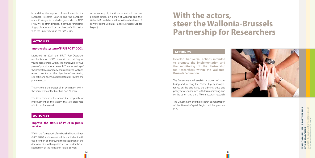In addition, the support of candidates for the European Research Council and the European Marie Curie grants or similar grants via the NCP-FNRS will be strengthened. Incentives for submitting applications will be the object of a discussion with the universities and the *F.R.S.-FNRS* .

## Action 23

### **Improve the system of FIRST POST-D OCs.**

This system is the object of an evaluation within the framework of the Marshall Plan 2.Green.

Launched in 2005, the FIRST Post-Doctorate mechanism of DGO6 aims at the training of young researchers within the framework of two years of post-doctoral research. The sponsoring of the project by a company or an approved Walloon research centre has the objective of transferring scientific and technological potential toward the private sector.

The Government will examine the proposals for improvement of the system that are presented within this framework.

## Action 24

## **Improve the status of PhDs in public service.**

# **MALLONIA-BRUSSELS PARTNERSHIP<br>FOR RESEARCHERS WALLONIA-BRUSSELS PARTNERSHIP FOR RESEARCHERS**

Within the framework of the Marshall Plan 2.Green (2009-2014), a discussion will be carried out with the intention of improving the recognition of the doctorate title within public service, under the re sponsibility of the Minster of Public Service.

In the same spirit, the Government will propose a similar action, on behalf of Wallonia and the Wallonia-Brussels Federation, to the other levels of power (Federal Belgium, Flanders, Brussels-Capital Region).

## Action 25

**Develop transversal actions intended to promote the implementation and the monitoring of the Partnership for Researchers within the Wallonia-Brussels Federation.**

The Government will establish a process of moni toring and steering the Partnership by incorpo rating, on the one hand, the administrative and policy actors concerned with this monitoring, and on the other hand the different actors in research.

The Government and the research administration of the Brussels-Capital Region will be partners in it.



*21*

## **With the actors, steer the Wallonia-Brussels Partnership for Researchers**

Adopted by the Governments of the Wallonia-Brussels s of the Wallon<br>- 26 May 2011 Federation and Wallonia as at 26 May 2011